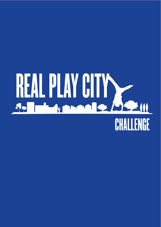# REAL PLAY CITY CHALLENGE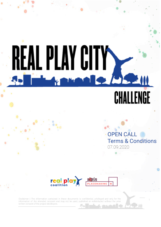## EAL PLAY CITY K 521 CHALLENGE

**OPEN CALL Terms & Conditions** 07.09.2020

۰

1

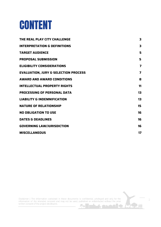#### CONTENT

| 3                       |
|-------------------------|
| 3                       |
| 5                       |
| 5                       |
| 7                       |
| $\overline{\mathbf{z}}$ |
| 8                       |
| 11                      |
| 13                      |
| 13                      |
| 15                      |
| 16                      |
| 16                      |
| 16                      |
| 17                      |
|                         |

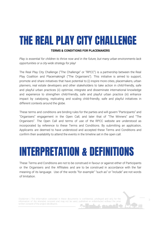### <span id="page-3-0"></span>THE REAL PLAY CITY CHALLENGE

#### **TERMS & CONDITIONS FOR PLACEMAKERS**

*Play is essential for children to thrive now and in the future, but many urban environments lack opportunities or a city-wide strategy for play!*

The Real Play City Challenge ("The Challenge" or "RPCC") is a partnership between the Real Play Coalition and PlacemakingX ("The Organisers"). This initiative is aimed to support, promote and share initiatives that have potential to (i) inspire more cities, placemakers, urban planners, real estate developers and other stakeholders to take action in child-friendly, safe and playful urban practices (ii) optimise, integrate and disseminate international knowledge and experience to strengthen child-friendly, safe and playful urban practice (iii) enhance impact by catalysing, replicating and scaling child-friendly, safe and playful initiatives in different contexts around the globe.

These terms and conditions are binding rules for the parties and will govern "Participants" and "Organisers" engagement in the Open Call, and later that of "The Winners" and "The Organisers". The Open Call and terms of use of the RPCC website are understood as incorporated by reference to these Terms and Conditions. By submitting an application, Applicants are deemed to have understood and accepted these Terms and Conditions and confirm their availability to attend the events in the timeline set in the open call.

#### <span id="page-3-1"></span>INTERPRETATION & DEFINITIONS

These Terms and Conditions are not to be construed in favour or against either of Participants or the Organisers and the Affiliates and are to be construed in accordance with the fair meaning of its language. Use of the words "for example" "such as" or "include" are not words of limitation.

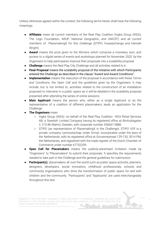Unless otherwise agreed within the context, the following terms herein shall have the following meanings:

- **Affiliates** mean all current members of the Real Play Coalition (Ingka Group (IKEA), The Lego Foundation, ARUP, National Geographic, and UNICEF) and all current members of PlacemakingX for this challenge (STIPO, Huasipichanga and Hannah Wright)
- **Award** means the prize given to the Winners which comprise a monetary sum, and access to a digital series of events and workshops planned for November 2020 by the Organisers to help participants improve their proposals into a scalability proposal.
- **Challenge** means the Real Play City Challenge and all activities related to it.
- **● Final Proposal** means the scalability proposal of the initiative with which Participants entered the Challenge as described in the clause "Award and Award Conditions".
- **Implementation** means the execution of the proposal in accordance with these Terms and Conditions, the Open Call and the guidelines given by the Organisers. It may include, but is not limited to, activities related to the construction of an installation proposed to intervene in a public space as it will be detailed in the scalability proposal presented after attending the series of online sessions.
- **● Main Applicant** [means](https://www.lawinsider.com/dictionary/main-applicant) the person who, either as a single Applicant or as the representative of a coalition of different placemakers, leads an application for the Challenge.
- **The Organisers** mean
	- Ingka Group (IKEA) -on behalf of the Real Play Coalition-. IKEA Retail Services AB, a Swedish Limited Company having its registered office at Älmhultsgatan 2, 215 86 Malmö, Sweden, with corporate number 556661-0886.
	- STIPO (as representative of PlacemakingX in the Challenge). STIPO VOF is a private company (vennootschap onder firma), incorporated under the laws of the Netherlands, with its registered office at Gouvernestraat 129-133, 3014 PM, the Netherlands, and registered with the trade register of the Dutch Chamber of Commerce under number 67752209.
- **Open Call for Placamakers** means the publicly-advertised invitation made by "Organisers" to "Placamakers" to submit their proposals. It specifies the requirements needed to take part in the Challenge and the general guidelines for submission.
- **Participant(s)**, placemakers all over the world such as public space activists, planners, designers, developers, social innovators, childhood professionals, schools and community organisations who drive the transformation of public space for and with children and the community. "Participants" and "Applicants" are used interchangeably throughout this text.

4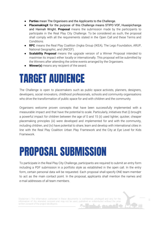- Parties mean The Organisers and the Applicants to the Challenge.
- **PlacemakingX** for the purpose of this Challenge means STIPO VOF, Huasipichanga and Hannah Wright. **Proposal** means the submission made by the participants to participate in the Real Play City Challenge. To be considered as such, the proposal shall comply with all the requirements stated in the Open Call and these Terms and Conditions.
- **RPC** means the Real Play Coalition (Ingka Group (IKEA), The Lego Foundation, ARUP, National Geographic, and UNICEF).
- **● Scalability Proposal** means the upgrade version of a Winner Proposal intended to maximise its impact either locally or internationally. This proposal will be submitted by the Winners after attending the online events arranged by the Organisers.
- **Winner(s)** means any recipient of the award.

#### <span id="page-5-0"></span>TARGET AUDIENCE

The Challenge is open to placemakers such as public space activists, planners, designers, developers, social innovators, childhood professionals, schools and community organisations who drive the transformation of public space for and with children and the community.

Organisers welcome proven concepts that have been successfully implemented with a measurable impact and that have the potential to scale. Particularly, initiatives that (i) brought a powerful impact for children between the age of 0 and 15 (ii) used lighter, quicker, cheaper placemaking principles (iii) were developed and implemented for and with the community, including children, and (iv) have potential to share, learn and develop with international cities in line with the Real Play Coalition Urban Play Framework and the City at Eye Level for Kids Framework.

#### <span id="page-5-1"></span>PROPOSAL SUBMISSION

To participate in the Real Play City Challenge, participants are required to submit an entry form including a PDF submission in a portfolio style as established in the open call. In the entry form, certain personal data will be requested. Each proposal shall specify ONE team member to act as the main contact point. In the proposal, applicants shall mention the names and e-mail addresses of all team members.

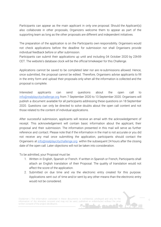Participants can appear as the main applicant in only one proposal. Should the Applicant(s) also collaborate in other proposals, Organizers welcome them to appear as part of the supporting team as long as the other proposals are different and independent initiatives.

The preparation of the application is on the Participants own responsibility. Organisers would not check applications before the deadline for submission nor shall Organisers provide individual feedback before or after submission.

Participants can submit their applications up until and including 04 October 2020 by 23h59 CET. The website's database clock will be the official timekeeper for this Challenge.

Applications cannot be saved to be completed later nor are re-submissions allowed. Hence, once submitted, the proposal cannot be edited. Therefore, Organisers advise applicants to fill in the entry form and upload their proposals only when all the information is collected and the proposal is complete.

Interested applicants can send questions about the open call to [info@realplaycitychallenge.org](mailto:info@realplaycitychallenge.org) from 7 September 2020 to 13 September 2020. Organisers will publish a document available for all participants addressing these questions on 18 September 2020. Questions can only be directed to solve doubts about the open call content and not those related to the content of individual applications.

After successful submission, applicants will receive an email with the acknowledgement of receipt. This acknowledgement will contain basic information about the applicant, their proposal and their submission. The information presented in this mail will serve as further reference and contact. Please note that if the information in the mail is not accurate or you did not receive any mail once submitting the application, participants should contact the Organisers at [info@realplaycitychallenge.org](mailto:info@realplaycitychallenge.org) within the subsequent 24 hours after the closing date of the open call. Later objections will not be taken into consideration.

To be admitted, your Proposal must be:

- 1. Written in English, Spanish or French. If written in Spanish or French, Participants shall attach an English translation of their Proposal. The quality of translation would not affect the score of the application.
- 2. Submitted on due time and via the electronic entry created for this purpose. Applications sent out of time and/or sent by any other means than the electronic entry would not be considered.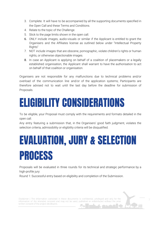- 3. Complete. It will have to be accompanied by all the supporting documents specified in the Open Call and these Terms and Conditions.
- 4. Relate to the topic of the Challenge.
- 5. Stick to the page limits shown in the open call.
- 6. ONLY include images, audio-visuals or similar if the Applicant is entitled to grant the Organisers and the Affiliates license as outlined below under "Intellectual Property Rights"
- 7. NOT include images that are obscene, pornographic, violate children's rights or human rights, or otherwise objectionable images.
- 8. In case an Applicant is applying on behalf of a coalition of placemakers or a legally established organisation, the Applicant shall warrant to have the authorisation to act on behalf of that coalition or organisation.

Organisers are not responsible for any malfunctions due to technical problems and/or overload of the communication line and/or of the application systems; Participants are therefore advised not to wait until the last day before the deadline for submission of Proposals.

#### <span id="page-7-0"></span>ELIGIBILITY CONSIDERATIONS

To be eligible, your Proposal must comply with the requirements and formats detailed in the open call.

Any entry featuring a submission that, in the Organisers' good faith judgment, violates the selection criteria, admissibility or eligibility criteria will be disqualified.

### <span id="page-7-1"></span>EVALUATION, JURY & SELECTION PROCESS

Proposals will be evaluated in three rounds for its technical and strategic performance by a high-profile jury:

Round 1: Successful entry based on eligibility and completion of the Submission.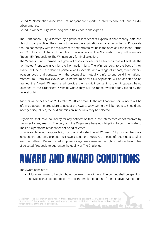Round 2: Nomination Jury: Panel of independent experts in child-friendly, safe and playful urban practice.

Round 3: Winners Jury: Panel of global cities leaders and experts.

The Nomination Jury is formed by a group of independent experts in child-friendly, safe and playful urban practice. Their role is to review the applications on a technical basis. Proposals that do not comply with the requirements and formats set up in the open call and these Terms and Conditions will be excluded from the evaluation. The Nomination Jury will nominate fifteen (15) Proposals to The Winners Jury for final selection.

The Winners Jury is formed by a group of global city leaders and experts that will evaluate the nominated Proposals given by the Nomination Jury. The Winners Jury, to the best of their ability, will select a balanced portfolio of Proposals with a range of impact, stakeholders, location, scale and contexts with the potential to mutually reinforce and build international momentum. From this evaluation, a minimum of four (4) Applicants will be selected to be granted the Award. Winners' shall provide their explicit consent to their Proposals being uploaded to the Organisers' Website where they will be made available for viewing by the general public.

Winners will be notified on 23 October 2020 via email.l In the notification email, Winners will be informed about the procedure to accept the Award. Only Winners will be notified. Should any inner get disqualified, the next submission in the rank may be selected.

Organisers shall have no liability for any notification that is lost, intercepted or not received by the inner for any reason. The Jury and the Organisers have no obligation to communicate to The Participants the reasons for not being selected.

Organisers take no responsibility for the final selection of Winners. All jury members are independent and only express their own evaluation. However, in case of receiving a total or less than fifteen (15) submitted Proposals, Organisers reserve the right to reduce the number of selected Proposals to guarantee the quality of The Challenge.

#### <span id="page-8-0"></span>AWARD AND AWARD CONDITIONS

The Award consists of:

● Monetary value to be distributed between the Winners. The budget shall be spent on activities that contribute or lead to the implementation of the initiative. Winners are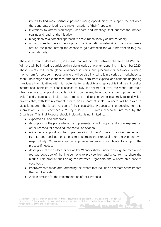invited to find more partnerships and funding opportunities to support the activities that contribute or lead to the implementation of their Proposals.

- Invitations to attend workshops, webinars and meetings that support the impact, scaling and reach of the initiative.
- recognition as a potential approach to scale impact locally or internationally.
- opportunities to present the Proposal to an international network and decision-makers around the globe, having the chance to gain attention for your intervention to grow internationally

There is a total budget of €50,000 euros that will be split between the selected Winners. Winners will be invited to participate in a digital series of events happening in November 2020. These events will reach global audiences in cities and placemakers networks, building momentum for broader impact. Winners will be also invited to join a series of workshops to share knowledge and experiences among them, learn from experts, and continue upgrading their ideas into initiatives with high potential for scalability and replicability in different local or international contexts to enable access to play for children all over the world. The main objectives are to support capacity building processes, to encourage the improvement of child-friendly, safe and playful urban practices and to encourage placemakers to develop projects that, with low-investment, create high impact at scale. Winners will be asked to digitally submit the latest version of their scalability Proposals. The deadline for this submission is 09 December 2020 by 23h59 CET, unless otherwise informed by the Organisers. This final Proposal should include but is not limited to:

- expected risk and outcomes.
- description of the place where the implementation will happen and a brief explanation of the reasons for choosing that particular location.
- evidence of support for the implementation of the Proposal in a given settlement. Permits and local authorisations to implement the Proposal is on the Winners own responsibility. Organisers will only provide an award's certificate to support the process if needed.
- description of the budget for scalability. Winners shall designate enough for media and footage coverage of the interventions to provide high-quality content to share the results. This amount shall be agreed between Organisers and Winners on a case to case basis.
- Improvements made after attending the events that include an estimate of the impact they aim to create.
- A clear timeline for the implementation of their Proposal.

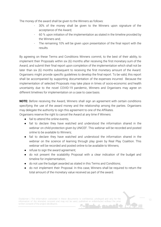The money of the award shall be given to the Winners as follows:

- 30% of the money shall be given to the Winners upon signature of the acceptance of the Award;
- 60 % upon initiation of the implementation as stated in the timeline provided by the Winners and;
- The remaining 10% will be given upon presentation of the final report with the results.

By agreeing on these Terms and Conditions Winners commit, to the best of their ability, to implement their Proposals within six (6) months after receiving the first monetary sum of the Award, and submit their final report upon completion of the implementation which shall not be later than six (6) months subsequent to receiving the first monetary amount of the Award. Organisers might provide specific guidelines to develop the final report. To be valid, this report shall be accompanied by supporting documentation of the expenses incurred. Because the implementation of selected Proposals may take place in times of socio-economic and health uncertainty due to the novel COVID-19 pandemic, Winners and Organisers may agree on different timelines for implementation on a case to case basis.

**NOTE:** Before receiving the Award, Winners shall sign an agreement with certain conditions specifying the use of the award money and the relationship among the parties. Organisers may delegate the authority to sign this agreement to one of the Affiliates.

Organisers reserve the right to cancel the Award at any time if Winners:

- $\bullet$  fail to attend the online events:
- fail to declare they have watched and understood the information shared in the webinar on child-protection given by UNICEF. This webinar will be recorded and posted online to be available to Winners;
- fail to declare they have watched and understood the information shared in the webinar on the science of learning through play given by Real Play Coalition. This webinar will be recorded and posted online to be available to Winners;
- refuse to sign the award agreement;
- do not present the scalability Proposal with a clear indication of the budget and timeline for implementation;
- do not use the budget awarded as stated in this Terms and Conditions;
- do not implement their Proposal. In this case, Winners shall be required to return the total amount of the monetary value received as part of the award.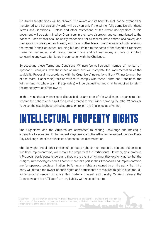No Award substitutions will be allowed. The Award and its benefits shall not be extended or transferred to third parties. Awards will be given only if the Winner fully complies with these Terms and Conditions. Details and other restrictions of the Award not specified in this document will be determined by Organisers in their sole discretion and communicated to the Winners. Each Winner shall be solely responsible for all federal, state and/or local taxes, and the reporting consequences thereof, and for any other fees or costs associated with receiving the award in their countries including but not limited to the costs of the transfer. Organisers make no warranties, and hereby disclaim any and all warranties, express or implied, concerning any Award furnished in connection with the Challenge.

By accepting these Terms and Conditions, Winners (as well as each member of the team, if applicable) complies with these set of rules and will complete the implementation of the scalability Proposal in accordance with the Organisers' instructions. If any Winner (or member of the team, if applicable) fails or refuses to comply with these Terms and Conditions, the Winner (and its whole team, if applicable) will be disqualified and shall be required to return the monetary value of the award.

In the event that a Winner gets disqualified, at any time of the Challenge, Organisers also reserve the right to either split the award granted to that Winner among the other Winners or to select the next highest-ranked submission to join the Challenge as a Winner.

#### <span id="page-11-0"></span>INTELLECTUAL PROPERTY RIGHTS

The Organisers and the Affiliates are committed to sharing knowledge and making it accessible to everyone. In that regard, Organisers and the Affiliates developed the Real Place City Challenge under the principles of open-source dissemination.

The copyright and all other intellectual property rights in the Proposal's content and designs, and later implementation, will remain the property of the Participants. However, by submitting a Proposal, participants understand that, in the event of winning, they explicitly agree that the designs, methodologies and all content that take part in their Proposals and implementation are for open-source dissemination. So far as any rights are owned by a third party, that third party will remain the owner of such rights and participants are required to get, in due time, all authorisations needed to share this material thereof and hereby Winners release the Organisers and the Affiliates from any liability with respect thereto.

Disclaimer | The information contained in these documents is confidential, privileged and only for the information of the intended recipient and may not be used, published or redistributed without the prior written consent of the project developers.

11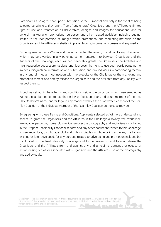Participants also agree that upon submission of their Proposal and, only in the event of being selected as Winners, they grant (free of any charge) Organisers and the Affiliates unlimited right of use and transfer on all deliverables, designs and images for educational and for general marketing or promotional purposes, and other related activities, including but not limited to the incorporation of images within promotional and marketing materials on the Organisers' and the Affiliates websites, in presentations, information screens and any media.

By being selected as a Winner and having accepted the award, in addition to any other award which may be awarded in any other agreement entered into between Organisers and the Winners of the Challenge, each Winner irrevocably grants the Organisers, the Affiliates and their respective successors, assigns and licensees, the right to use such participants name, likeness, biographical information and submission, and any individual(s) participating therein, in any and all media in connection with the Website or the Challenge or the marketing and promotion thereof and hereby release the Organisers and the Affiliates from any liability with respect thereto.

Except as set out in these terms and conditions, neither the participants nor those selected as Winners shall be entitled to use the Real Play Coalition or any individual member of the Real Play Coalition's name and/or logo in any manner without the prior written consent of the Real Play Coalition or the individual member of the Real Play Coalition as the case may be.

By agreeing with these Terms and Conditions, Applicants selected as Winners understand and accept to grant the Organisers and the Affiliates in the Challenge a royalty-free, worldwide, irrevocable, perpetual, non-exclusive license over the photography and audiovisuals contained in the Proposal, scalability Proposal, reports and any other document related to this Challenge, to use, reproduce, distribute, exploit and publicly display in whole or in part in any media now existing or later developed, for any purpose related to advertising and promotion included but not limited to the Real Play City Challenge and further waive off and forever release the Organisers and the Affiliates from and against any and all claims, demands or causes of action arising out of, or associated with Organizers and the Affiliates use of the photography and audiovisuals.

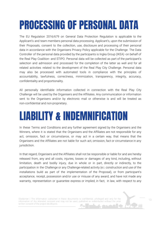#### <span id="page-13-0"></span>PROCESSING OF PERSONAL DATA

The EU Regulation 2016/679 on General Data Protection Regulation is applicable to the Applicant's and team members personal data processing. Applicant's, upon the submission of their Proposals, consent to the collection, use, disclosure and processing of their personal data in accordance with the Organisers Privacy Policy applicable for the Challenge. The Data Controller of the personal data provided by the participants is Ingka Group (IKEA) -on behalf of the Real Play Coalition- and STIPO. Personal data will be collected as part of the participant's selection and admission and processed for the completion of the latter as well and for all related activities related to the development of the Real Play City Challenge. Personal data may also be processed with automated tools in compliance with the principles of accountability, lawfulness, correctness, minimization, transparency, integrity, accuracy, confidentiality and proportionality.

All personally identifiable information collected in connection with the Real Play City Challenge will be used by the Organisers and the Affiliates. Any communication or information sent to the Organisers and/or by electronic mail or otherwise is and will be treated as non-confidential and non-proprietary.

#### <span id="page-13-1"></span>LIABILITY & INDEMNIFICATION

In these Terms and Conditions and any further agreement signed by the Organisers and the Winners, where it is stated that the Organisers and the Affiliates are not responsible for any act, omission, fact or circumstance, or may act in a certain way, that means that the Organisers and the Affiliates are not liable for such act, omission, fact or circumstance in any jurisdiction.

In that regard, Organisers and the Affiliates shall not be responsible or liable for and are hereby released from, any and all costs, injuries, losses or damages of any kind, including, without limitation, death and bodily injury, due in whole or in part, directly or indirectly, to the participation in the Challenge or any Challenge-related activity (e.i. construction and use of the installations build as part of the implementation of the Proposal), or from participant's acceptance, receipt, possession and/or use or misuse of any award, and have not made any warranty, representation or guarantee express or implied, in fact, in law, with respect to any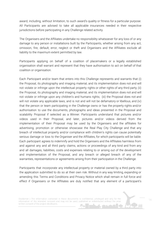award, including, without limitation, to such award's quality or fitness for a particular purpose. All Participants are advised to take all applicable insurances needed in their respective jurisdictions before participating in any Challenge related activity.

The Organisers and the Affiliates undertake no responsibility whatsoever for any loss of or any damage to any person or installations built by the Participants, whether arising from any act, omission, fire, default, error, neglect or theft and Organisers and the Affiliates exclude all liability to the maximum extent permitted by law.

Participants applying on behalf of a coalition of placemakers or a legally established organisation shall warrant and represent that they have authorisation to act on behalf of that coalition or organisation.

Each Participant and/or team that enters into this Challenge represents and warrants that (i) the Proposal, its photography and imaging material, and its implementation does not and will not violate or infringe upon the intellectual property rights or other rights of any third party; (ii) the Proposal, its photography and imaging material, and its implementation does not and will not violate or infringe upon any children's and humans rights; (iii) the Proposal does not and will not violate any applicable laws, and is not and will not be defamatory or libellous, and (iv) that the person or team participating in the Challenge owns or has the property rights and/or authorisation to use the documents, photographs and ideas presented in the Proposal and scalability Proposal if selected as a Winner. Participants understand that pictures and/or videos used in their Proposal, and later, pictures and/or videos derived from the implementation of their Proposal may be used by the Organisers and the affiliates for advertising, promotion or otherwise showcase the Real Play City Challenge and that any breach of intellectual property and/or compliance with children's rights can cause potentially serious damage or loss to the Organiser and the Affiliates, for which participants will be liable. Each participant agrees to indemnify and hold the Organisers and the Affiliates harmless from and against any and all third party claims, actions or proceedings of any kind and from any and all damages, liabilities, costs and expenses relating to or arising out of the development and implementation of the Proposal, and any breach or alleged breach of any of the warranties, representations or agreements arising from their participation in the Challenge.

Participants that incorporate any intellectual property or material owned by a third party into the application submitted to do so at their own risk. Without in any way limiting, expanding or amending this Terms and Conditions and Privacy Notice which shall remain in full force and effect if Organisers or the Affiliates are duly notified that any element of a participant's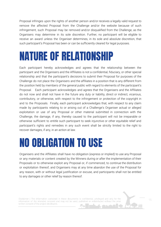Proposal infringes upon the rights of another person and/or receives a legally valid request to remove the affected Proposal from the Challenge and/or the website because of such infringement, such Proposal may be removed and/or disqualified from the Challenge, as the Organisers may determine in its sole discretion. Further, no participant will be eligible to receive an award unless the Organiser determines, in its sole and absolute discretion, that such participant's Proposal has been or can be sufficiently cleared for legal purposes.

#### <span id="page-15-0"></span>NATURE OF RELATIONSHIP

Each participant hereby acknowledges and agrees that the relationship between the participant and the Organisers and the Affiliates is not a confidential, fiduciary, or other special relationship and that the participant's decisions to submit their Proposal for purposes of the Challenge do not place the Organisers and the affiliates in a position that is any different from the position held by members of the general public with regard to elements of the participant's Proposal. Each participant acknowledges and agrees that the Organisers and the Affiliates do not now and shall not have in the future any duty or liability, direct or indirect, vicarious, contributory, or otherwise, with respect to the infringement or protection of the copyright in and to the Proposals. Finally, each participant acknowledges that, with respect to any claim made by participants relating to or arising out of a Challenge's Organiser actual or alleged exploitation or use of any Proposal or other material submitted in connection with the Challenge, the damage, if any, thereby caused to the participant will not be irreparable or otherwise sufficient to entitle such participant to seek injunctive or other equitable relief and participant's rights and remedies in any such event shall be strictly limited to the right to recover damages, if any, in an action at law.

#### NO OBLIGATION TO USE

Organisers and the Affiliates shall have no obligation (express or implied) to use any Proposal or any materials or content created by the Winners during or after the implementation of their Proposals or to otherwise exploit any Proposal or, if commenced, to continue the distribution or exploitation thereof, and Organisers may at any time abandon the use of the Proposal for any reason, with or without legal justification or excuse, and participants shall not be entitled to any damages or other relief by reason thereof.

Disclaimer | The information contained in these documents is confidential, privileged and only for the information of the intended recipient and may not be used, published or redistributed without the prior written consent of the project developers.

15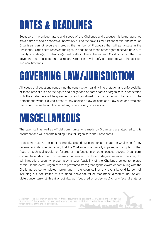#### <span id="page-16-0"></span>DATES & DEADLINES

Because of the unique nature and scope of the Challenge and because it is being launched amid a time of socio-economic uncertainty due to the novel COVID-19 pandemic, and because Organisers cannot accurately predict the number of Proposals that will participate in the Challenge, Organisers reserves the right, in addition to those other rights reserved herein, to modify any date(s) or deadline(s) set forth in these Terms and Conditions or otherwise governing the Challenge. In that regard, Organisers will notify participants with the decision and new timelines.

#### <span id="page-16-1"></span>GOVERNING LAW/JURISDICTION

All issues and questions concerning the construction, validity, interpretation and enforceability of these official rules or the rights and obligations of participants or organisers in connection with the challenge shall be governed by and construed in accordance with the laws of The Netherlands without giving effect to any choice of law of conflict of law rules or provisions that would cause the application of any other country or state's law.

#### <span id="page-16-2"></span>MISCELLANEOUS

The open call as well as official communications made by Organisers are attached to this document and will become binding rules for Organisers and Participants.

Organisers reserve the right to modify, extend, suspend, or terminate the Challenge if they determine, in its sole discretion, that the Challenge is technically impaired or corrupted or that fraud or technical problems, failures or malfunctions or other causes beyond Organisers' control have destroyed or severely undermined or to any degree impaired the integrity, administration, security, proper play and/or feasibility of the Challenge as contemplated herein. In the event, Organisers are prevented from granting the Award or continuing with the Challenge as contemplated herein and in the open call by any event beyond its control, including but not limited to fire, flood, socio-natural or man-made disasters, riot or civil disturbance, terrorist threat or activity, war (declared or undeclared) or any federal state or